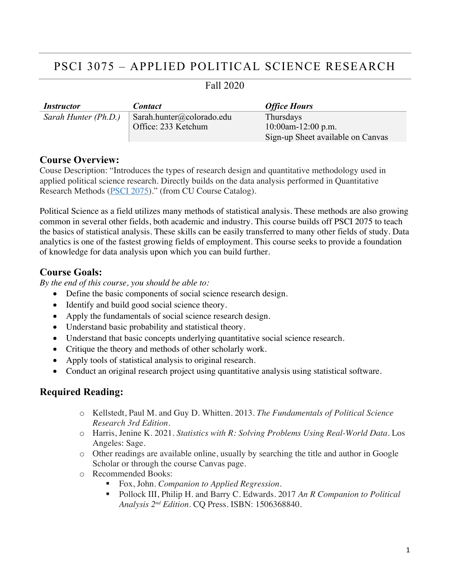## PSCI 3075 – APPLIED POLITICAL SCIENCE RESEARCH

| <i>Instructor</i>    | <b>Contact</b>            | <b>Office Hours</b>               |
|----------------------|---------------------------|-----------------------------------|
| Sarah Hunter (Ph.D.) | Sarah.hunter@colorado.edu | Thursdays                         |
|                      | Office: 233 Ketchum       | $10:00$ am- $12:00$ p.m.          |
|                      |                           | Sign-up Sheet available on Canvas |

# Fall 2020

## **Course Overview:**

Couse Description: "Introduces the types of research design and quantitative methodology used in applied political science research. Directly builds on the data analysis performed in Quantitative Research Methods (PSCI 2075)." (from CU Course Catalog).

Political Science as a field utilizes many methods of statistical analysis. These methods are also growing common in several other fields, both academic and industry. This course builds off PSCI 2075 to teach the basics of statistical analysis. These skills can be easily transferred to many other fields of study. Data analytics is one of the fastest growing fields of employment. This course seeks to provide a foundation of knowledge for data analysis upon which you can build further.

## **Course Goals:**

*By the end of this course, you should be able to:*

- Define the basic components of social science research design.
- Identify and build good social science theory.
- Apply the fundamentals of social science research design.
- Understand basic probability and statistical theory.
- Understand that basic concepts underlying quantitative social science research.
- Critique the theory and methods of other scholarly work.
- Apply tools of statistical analysis to original research.
- Conduct an original research project using quantitative analysis using statistical software.

## **Required Reading:**

- o Kellstedt, Paul M. and Guy D. Whitten. 2013. *The Fundamentals of Political Science Research 3rd Edition.*
- o Harris, Jenine K. 2021. *Statistics with R: Solving Problems Using Real-World Data*. Los Angeles: Sage.
- o Other readings are available online, usually by searching the title and author in Google Scholar or through the course Canvas page.
- o Recommended Books:
	- Fox, John. *Companion to Applied Regression*.
	- § Pollock III, Philip H. and Barry C. Edwards. 2017 *An R Companion to Political Analysis 2nd Edition.* CQ Press. ISBN: 1506368840.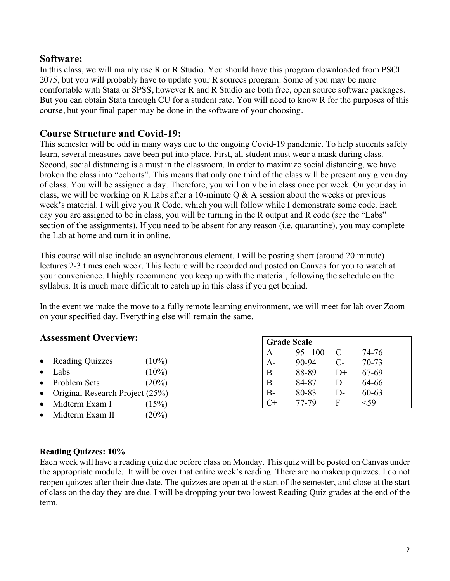## **Software:**

In this class, we will mainly use R or R Studio. You should have this program downloaded from PSCI 2075, but you will probably have to update your R sources program. Some of you may be more comfortable with Stata or SPSS, however R and R Studio are both free, open source software packages. But you can obtain Stata through CU for a student rate. You will need to know R for the purposes of this course, but your final paper may be done in the software of your choosing.

## **Course Structure and Covid-19:**

This semester will be odd in many ways due to the ongoing Covid-19 pandemic. To help students safely learn, several measures have been put into place. First, all student must wear a mask during class. Second, social distancing is a must in the classroom. In order to maximize social distancing, we have broken the class into "cohorts". This means that only one third of the class will be present any given day of class. You will be assigned a day. Therefore, you will only be in class once per week. On your day in class, we will be working on R Labs after a 10-minute  $O & A$  session about the weeks or previous week's material. I will give you R Code, which you will follow while I demonstrate some code. Each day you are assigned to be in class, you will be turning in the R output and R code (see the "Labs" section of the assignments). If you need to be absent for any reason (i.e. quarantine), you may complete the Lab at home and turn it in online.

This course will also include an asynchronous element. I will be posting short (around 20 minute) lectures 2-3 times each week. This lecture will be recorded and posted on Canvas for you to watch at your convenience. I highly recommend you keep up with the material, following the schedule on the syllabus. It is much more difficult to catch up in this class if you get behind.

In the event we make the move to a fully remote learning environment, we will meet for lab over Zoom on your specified day. Everything else will remain the same.

## **Assessment Overview:**

- Reading Quizzes (10%)
- Labs  $(10\%)$
- Problem Sets (20%)
- Original Research Project (25%)
- Midterm Exam I  $(15\%)$
- Midterm Exam II (20%)

| <b>Grade Scale</b> |            |                             |           |  |
|--------------------|------------|-----------------------------|-----------|--|
| A                  | $95 - 100$ | $\mathcal{C}_{\mathcal{C}}$ | 74-76     |  |
| А-                 | 90-94      | $C-$                        | 70-73     |  |
| B                  | 88-89      | D+                          | 67-69     |  |
| B                  | 84-87      | I)                          | 64-66     |  |
| B-                 | 80-83      | l )-                        | $60 - 63$ |  |
|                    | 77-79      | F                           |           |  |

#### **Reading Quizzes: 10%**

Each week will have a reading quiz due before class on Monday. This quiz will be posted on Canvas under the appropriate module. It will be over that entire week's reading. There are no makeup quizzes. I do not reopen quizzes after their due date. The quizzes are open at the start of the semester, and close at the start of class on the day they are due. I will be dropping your two lowest Reading Quiz grades at the end of the term.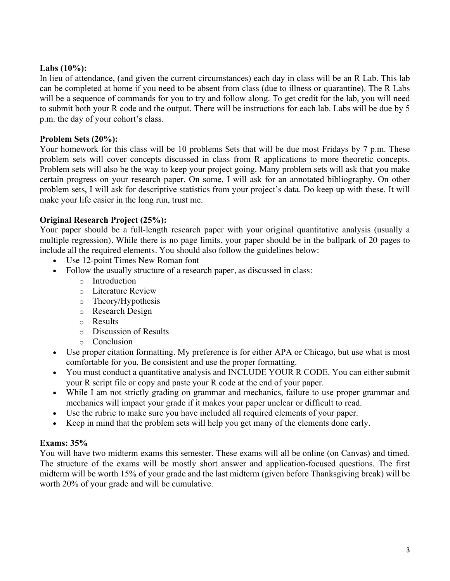## **Labs (10%):**

In lieu of attendance, (and given the current circumstances) each day in class will be an R Lab. This lab can be completed at home if you need to be absent from class (due to illness or quarantine). The R Labs will be a sequence of commands for you to try and follow along. To get credit for the lab, you will need to submit both your R code and the output. There will be instructions for each lab. Labs will be due by 5 p.m. the day of your cohort's class.

#### **Problem Sets (20%):**

Your homework for this class will be 10 problems Sets that will be due most Fridays by 7 p.m. These problem sets will cover concepts discussed in class from R applications to more theoretic concepts. Problem sets will also be the way to keep your project going. Many problem sets will ask that you make certain progress on your research paper. On some, I will ask for an annotated bibliography. On other problem sets, I will ask for descriptive statistics from your project's data. Do keep up with these. It will make your life easier in the long run, trust me.

#### **Original Research Project (25%):**

Your paper should be a full-length research paper with your original quantitative analysis (usually a multiple regression). While there is no page limits, your paper should be in the ballpark of 20 pages to include all the required elements. You should also follow the guidelines below:

- Use 12-point Times New Roman font
- Follow the usually structure of a research paper, as discussed in class:
	- o Introduction
	- o Literature Review
	- o Theory/Hypothesis
	- o Research Design
	- o Results
	- o Discussion of Results
	- o Conclusion
- Use proper citation formatting. My preference is for either APA or Chicago, but use what is most comfortable for you. Be consistent and use the proper formatting.
- You must conduct a quantitative analysis and INCLUDE YOUR R CODE. You can either submit your R script file or copy and paste your R code at the end of your paper.
- While I am not strictly grading on grammar and mechanics, failure to use proper grammar and mechanics will impact your grade if it makes your paper unclear or difficult to read.
- Use the rubric to make sure you have included all required elements of your paper.
- Keep in mind that the problem sets will help you get many of the elements done early.

## **Exams: 35%**

You will have two midterm exams this semester. These exams will all be online (on Canvas) and timed. The structure of the exams will be mostly short answer and application-focused questions. The first midterm will be worth 15% of your grade and the last midterm (given before Thanksgiving break) will be worth 20% of your grade and will be cumulative.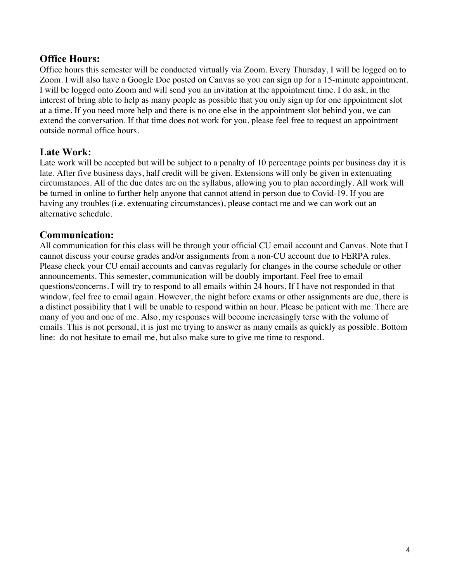## **Office Hours:**

Office hours this semester will be conducted virtually via Zoom. Every Thursday, I will be logged on to Zoom. I will also have a Google Doc posted on Canvas so you can sign up for a 15-minute appointment. I will be logged onto Zoom and will send you an invitation at the appointment time. I do ask, in the interest of bring able to help as many people as possible that you only sign up for one appointment slot at a time. If you need more help and there is no one else in the appointment slot behind you, we can extend the conversation. If that time does not work for you, please feel free to request an appointment outside normal office hours.

## **Late Work:**

Late work will be accepted but will be subject to a penalty of 10 percentage points per business day it is late. After five business days, half credit will be given. Extensions will only be given in extenuating circumstances. All of the due dates are on the syllabus, allowing you to plan accordingly. All work will be turned in online to further help anyone that cannot attend in person due to Covid-19. If you are having any troubles (i.e. extenuating circumstances), please contact me and we can work out an alternative schedule.

## **Communication:**

All communication for this class will be through your official CU email account and Canvas. Note that I cannot discuss your course grades and/or assignments from a non-CU account due to FERPA rules. Please check your CU email accounts and canvas regularly for changes in the course schedule or other announcements. This semester, communication will be doubly important. Feel free to email questions/concerns. I will try to respond to all emails within 24 hours. If I have not responded in that window, feel free to email again. However, the night before exams or other assignments are due, there is a distinct possibility that I will be unable to respond within an hour. Please be patient with me. There are many of you and one of me. Also, my responses will become increasingly terse with the volume of emails. This is not personal, it is just me trying to answer as many emails as quickly as possible. Bottom line: do not hesitate to email me, but also make sure to give me time to respond.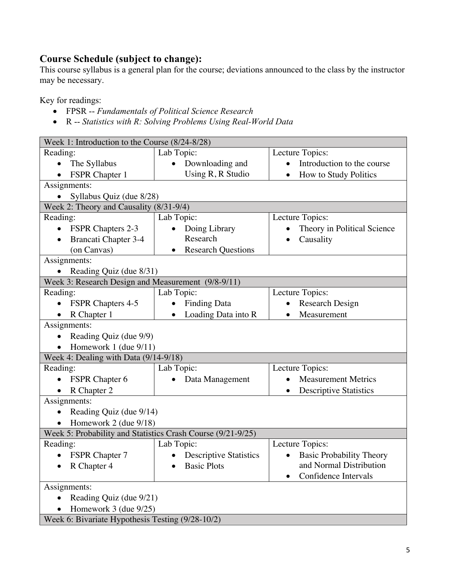## **Course Schedule (subject to change):**

This course syllabus is a general plan for the course; deviations announced to the class by the instructor may be necessary.

Key for readings:

- FPSR -- *Fundamentals of Political Science Research*
- R -- *Statistics with R: Solving Problems Using Real-World Data*

| Week 1: Introduction to the Course (8/24-8/28)              |                                            |                                              |  |  |
|-------------------------------------------------------------|--------------------------------------------|----------------------------------------------|--|--|
| Reading:                                                    | Lab Topic:                                 | Lecture Topics:                              |  |  |
| The Syllabus                                                | Downloading and                            | Introduction to the course                   |  |  |
| FSPR Chapter 1<br>$\bullet$                                 | Using R, R Studio                          | How to Study Politics<br>$\bullet$           |  |  |
| Assignments:                                                |                                            |                                              |  |  |
| Syllabus Quiz (due 8/28)<br>$\bullet$                       |                                            |                                              |  |  |
| Week 2: Theory and Causality (8/31-9/4)                     |                                            |                                              |  |  |
| Reading:<br>Lab Topic:                                      |                                            | Lecture Topics:                              |  |  |
| <b>FSPR Chapters 2-3</b>                                    | Doing Library<br>$\bullet$                 | Theory in Political Science                  |  |  |
| <b>Brancati Chapter 3-4</b><br>$\bullet$                    | Research                                   | Causality<br>$\bullet$                       |  |  |
| (on Canvas)                                                 | <b>Research Questions</b><br>$\bullet$     |                                              |  |  |
| Assignments:                                                |                                            |                                              |  |  |
| Reading Quiz (due 8/31)<br>$\bullet$                        |                                            |                                              |  |  |
| Week 3: Research Design and Measurement (9/8-9/11)          |                                            |                                              |  |  |
| Reading:                                                    | Lab Topic:                                 | Lecture Topics:                              |  |  |
| <b>FSPR Chapters 4-5</b>                                    | <b>Finding Data</b>                        | Research Design                              |  |  |
| R Chapter 1<br>$\bullet$                                    | Loading Data into R<br>$\bullet$           | Measurement<br>$\bullet$                     |  |  |
| Assignments:                                                |                                            |                                              |  |  |
| Reading Quiz (due 9/9)                                      |                                            |                                              |  |  |
| Homework 1 (due 9/11)<br>$\bullet$                          |                                            |                                              |  |  |
| Week 4: Dealing with Data (9/14-9/18)                       |                                            |                                              |  |  |
| Reading:                                                    | Lab Topic:                                 | Lecture Topics:                              |  |  |
| <b>FSPR</b> Chapter 6                                       | Data Management                            | <b>Measurement Metrics</b>                   |  |  |
| R Chapter 2<br>$\bullet$                                    |                                            | <b>Descriptive Statistics</b><br>$\bullet$   |  |  |
| Assignments:                                                |                                            |                                              |  |  |
| Reading Quiz (due 9/14)<br>$\bullet$                        |                                            |                                              |  |  |
| Homework 2 (due 9/18)                                       |                                            |                                              |  |  |
| Week 5: Probability and Statistics Crash Course (9/21-9/25) |                                            |                                              |  |  |
| Reading:                                                    | Lab Topic:                                 | Lecture Topics:                              |  |  |
| <b>FSPR Chapter 7</b>                                       | <b>Descriptive Statistics</b><br>$\bullet$ | <b>Basic Probability Theory</b><br>$\bullet$ |  |  |
| R Chapter 4                                                 | <b>Basic Plots</b>                         | and Normal Distribution                      |  |  |
|                                                             |                                            | Confidence Intervals                         |  |  |
| Assignments:                                                |                                            |                                              |  |  |
| Reading Quiz (due 9/21)                                     |                                            |                                              |  |  |
| Homework 3 (due 9/25)                                       |                                            |                                              |  |  |
| Week 6: Bivariate Hypothesis Testing (9/28-10/2)            |                                            |                                              |  |  |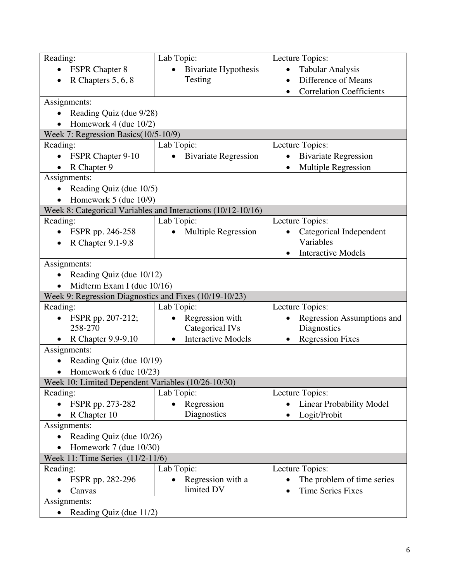| Reading:                                               | Lab Topic:                                                   | Lecture Topics:                              |  |  |
|--------------------------------------------------------|--------------------------------------------------------------|----------------------------------------------|--|--|
| <b>FSPR</b> Chapter 8                                  | <b>Bivariate Hypothesis</b>                                  | <b>Tabular Analysis</b>                      |  |  |
| R Chapters 5, 6, 8                                     | Testing                                                      | Difference of Means<br>$\bullet$             |  |  |
|                                                        |                                                              | <b>Correlation Coefficients</b><br>$\bullet$ |  |  |
| Assignments:                                           |                                                              |                                              |  |  |
| Reading Quiz (due 9/28)<br>$\bullet$                   |                                                              |                                              |  |  |
| Homework $4$ (due $10/2$ )                             |                                                              |                                              |  |  |
| Week 7: Regression Basics(10/5-10/9)                   |                                                              |                                              |  |  |
| Reading:                                               | Lab Topic:                                                   | Lecture Topics:                              |  |  |
| FSPR Chapter 9-10<br>$\bullet$                         | <b>Bivariate Regression</b><br>$\bullet$                     | <b>Bivariate Regression</b><br>$\bullet$     |  |  |
| R Chapter 9                                            |                                                              | Multiple Regression                          |  |  |
| Assignments:                                           |                                                              |                                              |  |  |
| Reading Quiz (due 10/5)                                |                                                              |                                              |  |  |
| Homework 5 (due 10/9)                                  |                                                              |                                              |  |  |
|                                                        | Week 8: Categorical Variables and Interactions (10/12-10/16) |                                              |  |  |
| Reading:                                               | Lab Topic:                                                   | Lecture Topics:                              |  |  |
| FSPR pp. 246-258                                       | Multiple Regression                                          | Categorical Independent                      |  |  |
| R Chapter 9.1-9.8                                      |                                                              | Variables                                    |  |  |
|                                                        |                                                              | <b>Interactive Models</b><br>$\bullet$       |  |  |
| Assignments:                                           |                                                              |                                              |  |  |
| Reading Quiz (due 10/12)<br>$\bullet$                  |                                                              |                                              |  |  |
| Midterm Exam I (due 10/16)                             |                                                              |                                              |  |  |
| Week 9: Regression Diagnostics and Fixes (10/19-10/23) |                                                              |                                              |  |  |
| Reading:                                               | Lab Topic:                                                   | Lecture Topics:                              |  |  |
| FSPR pp. 207-212;                                      | Regression with                                              | Regression Assumptions and                   |  |  |
| 258-270                                                | Categorical IVs                                              | Diagnostics                                  |  |  |
| R Chapter 9.9-9.10                                     | <b>Interactive Models</b><br>$\bullet$                       | <b>Regression Fixes</b>                      |  |  |
| Assignments:                                           |                                                              |                                              |  |  |
| Reading Quiz (due 10/19)                               |                                                              |                                              |  |  |
| Homework $6$ (due $10/23$ )                            |                                                              |                                              |  |  |
| Week 10: Limited Dependent Variables (10/26-10/30)     |                                                              |                                              |  |  |
| Reading:                                               | Lab Topic:                                                   | Lecture Topics:                              |  |  |
| FSPR pp. 273-282                                       | Regression                                                   | <b>Linear Probability Model</b>              |  |  |
| R Chapter 10                                           | Diagnostics                                                  | Logit/Probit<br>$\bullet$                    |  |  |
| Assignments:                                           |                                                              |                                              |  |  |
| Reading Quiz (due 10/26)                               |                                                              |                                              |  |  |
| Homework $7$ (due $10/30$ )                            |                                                              |                                              |  |  |
| Week 11: Time Series (11/2-11/6)                       |                                                              |                                              |  |  |
| Reading:                                               | Lab Topic:                                                   | Lecture Topics:                              |  |  |
| FSPR pp. 282-296                                       | Regression with a                                            | The problem of time series                   |  |  |
| Canvas                                                 | limited DV                                                   | <b>Time Series Fixes</b><br>$\bullet$        |  |  |
| Assignments:                                           |                                                              |                                              |  |  |
| Reading Quiz (due 11/2)<br>$\bullet$                   |                                                              |                                              |  |  |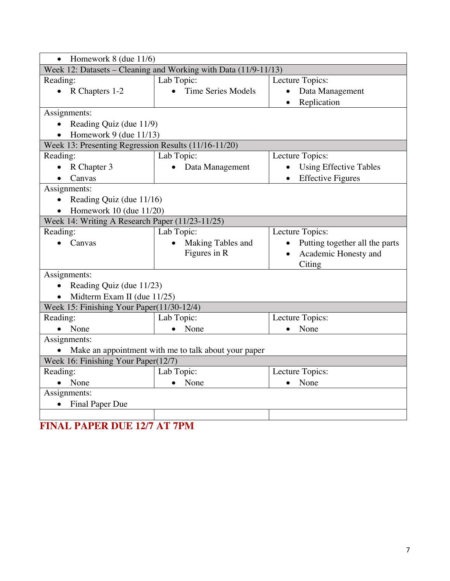| Homework $8$ (due $11/6$ )<br>$\bullet$                         |                                                      |                                            |  |  |
|-----------------------------------------------------------------|------------------------------------------------------|--------------------------------------------|--|--|
| Week 12: Datasets – Cleaning and Working with Data (11/9-11/13) |                                                      |                                            |  |  |
| Reading:                                                        | Lab Topic:                                           | Lecture Topics:                            |  |  |
| • R Chapters $1-2$                                              | <b>Time Series Models</b><br>$\bullet$               | Data Management                            |  |  |
|                                                                 |                                                      | Replication                                |  |  |
| Assignments:                                                    |                                                      |                                            |  |  |
| Reading Quiz (due 11/9)<br>$\bullet$                            |                                                      |                                            |  |  |
| Homework 9 (due $11/13$ )<br>$\bullet$                          |                                                      |                                            |  |  |
| Week 13: Presenting Regression Results (11/16-11/20)            |                                                      |                                            |  |  |
| Reading:                                                        | Lab Topic:                                           | Lecture Topics:                            |  |  |
| R Chapter 3                                                     | Data Management                                      | <b>Using Effective Tables</b><br>$\bullet$ |  |  |
| Canvas                                                          |                                                      | <b>Effective Figures</b><br>$\bullet$      |  |  |
| Assignments:                                                    |                                                      |                                            |  |  |
| Reading Quiz (due 11/16)<br>$\bullet$                           |                                                      |                                            |  |  |
| Homework 10 (due $11/20$ )                                      |                                                      |                                            |  |  |
| Week 14: Writing A Research Paper (11/23-11/25)                 |                                                      |                                            |  |  |
| Reading:                                                        | Lab Topic:                                           | Lecture Topics:                            |  |  |
| Canvas                                                          | Making Tables and                                    | Putting together all the parts             |  |  |
|                                                                 | Figures in R                                         | Academic Honesty and<br>$\bullet$          |  |  |
|                                                                 |                                                      | Citing                                     |  |  |
| Assignments:                                                    |                                                      |                                            |  |  |
| Reading Quiz (due 11/23)<br>$\bullet$                           |                                                      |                                            |  |  |
| Midterm Exam II (due 11/25)<br>$\bullet$                        |                                                      |                                            |  |  |
| Week 15: Finishing Your Paper(11/30-12/4)                       |                                                      |                                            |  |  |
| Reading:                                                        | Lab Topic:                                           | Lecture Topics:                            |  |  |
| None                                                            | None                                                 | None                                       |  |  |
| Assignments:                                                    |                                                      |                                            |  |  |
| $\bullet$                                                       | Make an appointment with me to talk about your paper |                                            |  |  |
| Week 16: Finishing Your Paper(12/7)                             |                                                      |                                            |  |  |
| Reading:                                                        | Lab Topic:                                           | Lecture Topics:                            |  |  |
| None                                                            | None<br>$\bullet$                                    | None                                       |  |  |
| Assignments:                                                    |                                                      |                                            |  |  |
| <b>Final Paper Due</b><br>$\bullet$                             |                                                      |                                            |  |  |
|                                                                 |                                                      |                                            |  |  |

**FINAL PAPER DUE 12/7 AT 7PM**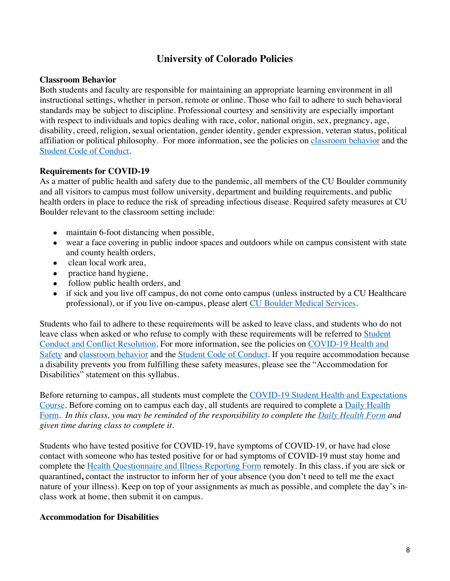## **University of Colorado Policies**

#### **Classroom Behavior**

Both students and faculty are responsible for maintaining an appropriate learning environment in all instructional settings, whether in person, remote or online. Those who fail to adhere to such behavioral standards may be subject to discipline. Professional courtesy and sensitivity are especially important with respect to individuals and topics dealing with race, color, national origin, sex, pregnancy, age, disability, creed, religion, sexual orientation, gender identity, gender expression, veteran status, political affiliation or political philosophy. For more information, see the policies on classroom behavior and the Student Code of Conduct.

#### **Requirements for COVID-19**

As a matter of public health and safety due to the pandemic, all members of the CU Boulder community and all visitors to campus must follow university, department and building requirements, and public health orders in place to reduce the risk of spreading infectious disease. Required safety measures at CU Boulder relevant to the classroom setting include:

- maintain 6-foot distancing when possible,
- wear a face covering in public indoor spaces and outdoors while on campus consistent with state and county health orders,
- clean local work area,
- practice hand hygiene,
- follow public health orders, and
- if sick and you live off campus, do not come onto campus (unless instructed by a CU Healthcare professional), or if you live on-campus, please alert CU Boulder Medical Services.

Students who fail to adhere to these requirements will be asked to leave class, and students who do not leave class when asked or who refuse to comply with these requirements will be referred to Student Conduct and Conflict Resolution. For more information, see the policies on COVID-19 Health and Safety and classroom behavior and the Student Code of Conduct. If you require accommodation because a disability prevents you from fulfilling these safety measures, please see the "Accommodation for Disabilities" statement on this syllabus.

Before returning to campus, all students must complete the COVID-19 Student Health and Expectations Course. Before coming on to campus each day, all students are required to complete a Daily Health Form. *In this class, you may be reminded of the responsibility to complete the Daily Health Form and given time during class to complete it.*

Students who have tested positive for COVID-19, have symptoms of COVID-19, or have had close contact with someone who has tested positive for or had symptoms of COVID-19 must stay home and complete the Health Questionnaire and Illness Reporting Form remotely. In this class, if you are sick or quarantined**,** contact the instructor to inform her of your absence (you don't need to tell me the exact nature of your illness). Keep on top of your assignments as much as possible, and complete the day's inclass work at home, then submit it on campus.

#### **Accommodation for Disabilities**